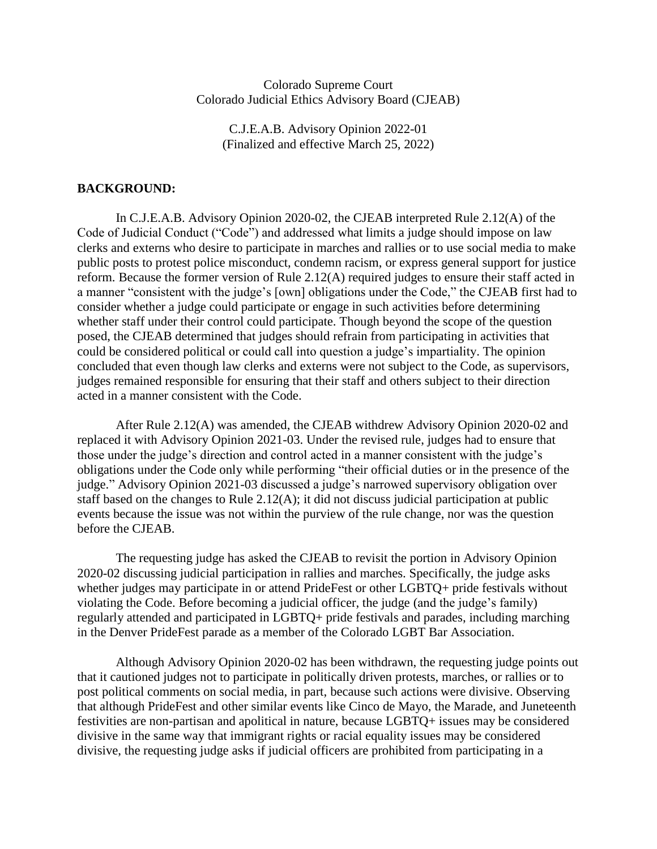#### Colorado Supreme Court Colorado Judicial Ethics Advisory Board (CJEAB)

C.J.E.A.B. Advisory Opinion 2022-01 (Finalized and effective March 25, 2022)

#### **BACKGROUND:**

In C.J.E.A.B. Advisory Opinion 2020-02, the CJEAB interpreted Rule 2.12(A) of the Code of Judicial Conduct ("Code") and addressed what limits a judge should impose on law clerks and externs who desire to participate in marches and rallies or to use social media to make public posts to protest police misconduct, condemn racism, or express general support for justice reform. Because the former version of Rule 2.12(A) required judges to ensure their staff acted in a manner "consistent with the judge's [own] obligations under the Code," the CJEAB first had to consider whether a judge could participate or engage in such activities before determining whether staff under their control could participate. Though beyond the scope of the question posed, the CJEAB determined that judges should refrain from participating in activities that could be considered political or could call into question a judge's impartiality. The opinion concluded that even though law clerks and externs were not subject to the Code, as supervisors, judges remained responsible for ensuring that their staff and others subject to their direction acted in a manner consistent with the Code.

After Rule 2.12(A) was amended, the CJEAB withdrew Advisory Opinion 2020-02 and replaced it with Advisory Opinion 2021-03. Under the revised rule, judges had to ensure that those under the judge's direction and control acted in a manner consistent with the judge's obligations under the Code only while performing "their official duties or in the presence of the judge." Advisory Opinion 2021-03 discussed a judge's narrowed supervisory obligation over staff based on the changes to Rule 2.12(A); it did not discuss judicial participation at public events because the issue was not within the purview of the rule change, nor was the question before the CJEAB.

The requesting judge has asked the CJEAB to revisit the portion in Advisory Opinion 2020-02 discussing judicial participation in rallies and marches. Specifically, the judge asks whether judges may participate in or attend PrideFest or other LGBTQ+ pride festivals without violating the Code. Before becoming a judicial officer, the judge (and the judge's family) regularly attended and participated in LGBTQ+ pride festivals and parades, including marching in the Denver PrideFest parade as a member of the Colorado LGBT Bar Association.

Although Advisory Opinion 2020-02 has been withdrawn, the requesting judge points out that it cautioned judges not to participate in politically driven protests, marches, or rallies or to post political comments on social media, in part, because such actions were divisive. Observing that although PrideFest and other similar events like Cinco de Mayo, the Marade, and Juneteenth festivities are non-partisan and apolitical in nature, because LGBTQ+ issues may be considered divisive in the same way that immigrant rights or racial equality issues may be considered divisive, the requesting judge asks if judicial officers are prohibited from participating in a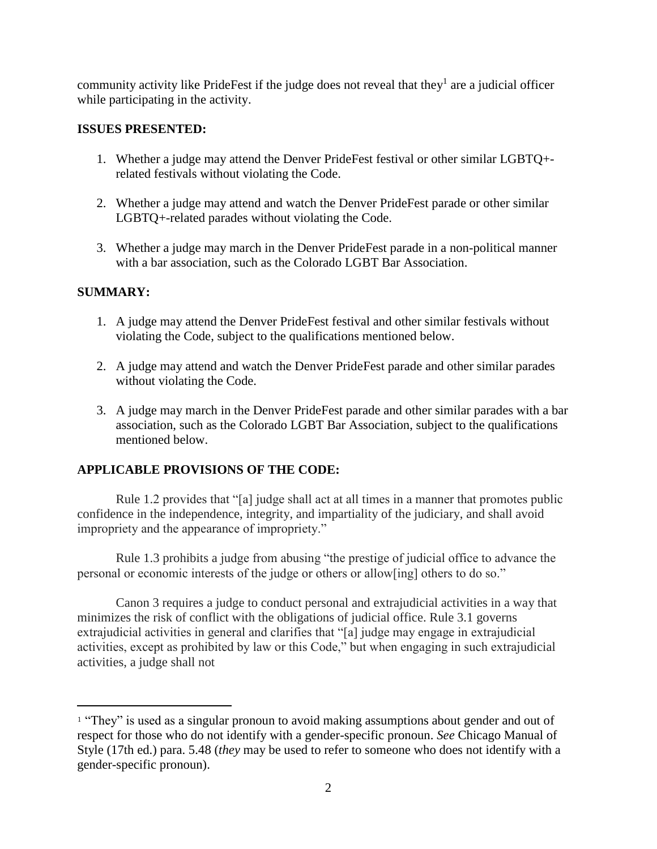community activity like PrideFest if the judge does not reveal that they<sup>1</sup> are a judicial officer while participating in the activity.

# **ISSUES PRESENTED:**

- 1. Whether a judge may attend the Denver PrideFest festival or other similar LGBTQ+ related festivals without violating the Code.
- 2. Whether a judge may attend and watch the Denver PrideFest parade or other similar LGBTQ+-related parades without violating the Code.
- 3. Whether a judge may march in the Denver PrideFest parade in a non-political manner with a bar association, such as the Colorado LGBT Bar Association.

# **SUMMARY:**

 $\overline{a}$ 

- 1. A judge may attend the Denver PrideFest festival and other similar festivals without violating the Code, subject to the qualifications mentioned below.
- 2. A judge may attend and watch the Denver PrideFest parade and other similar parades without violating the Code.
- 3. A judge may march in the Denver PrideFest parade and other similar parades with a bar association, such as the Colorado LGBT Bar Association, subject to the qualifications mentioned below.

# **APPLICABLE PROVISIONS OF THE CODE:**

Rule 1.2 provides that "[a] judge shall act at all times in a manner that promotes public confidence in the independence, integrity, and impartiality of the judiciary, and shall avoid impropriety and the appearance of impropriety."

Rule 1.3 prohibits a judge from abusing "the prestige of judicial office to advance the personal or economic interests of the judge or others or allow[ing] others to do so."

Canon 3 requires a judge to conduct personal and extrajudicial activities in a way that minimizes the risk of conflict with the obligations of judicial office. Rule 3.1 governs extrajudicial activities in general and clarifies that "[a] judge may engage in extrajudicial activities, except as prohibited by law or this Code," but when engaging in such extrajudicial activities, a judge shall not

<sup>&</sup>lt;sup>1</sup> "They" is used as a singular pronoun to avoid making assumptions about gender and out of respect for those who do not identify with a gender-specific pronoun. *See* Chicago Manual of Style (17th ed.) para. 5.48 (*they* may be used to refer to someone who does not identify with a gender-specific pronoun).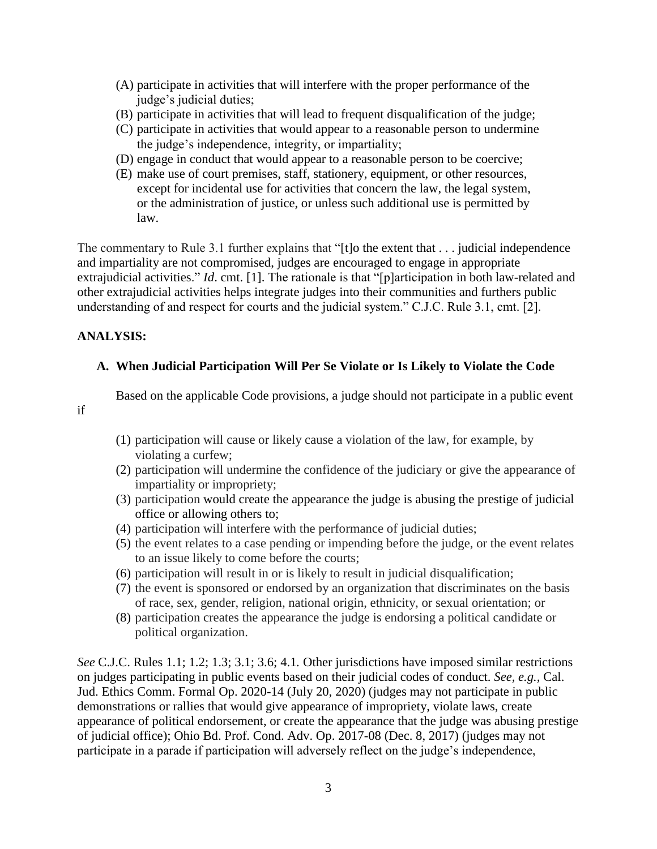- (A) participate in activities that will interfere with the proper performance of the judge's judicial duties;
- (B) participate in activities that will lead to frequent disqualification of the judge;
- (C) participate in activities that would appear to a reasonable person to undermine the judge's independence, integrity, or impartiality;
- (D) engage in conduct that would appear to a reasonable person to be coercive;
- (E) make use of court premises, staff, stationery, equipment, or other resources, except for incidental use for activities that concern the law, the legal system, or the administration of justice, or unless such additional use is permitted by law.

The commentary to Rule 3.1 further explains that "[t]o the extent that . . . judicial independence and impartiality are not compromised, judges are encouraged to engage in appropriate extrajudicial activities." *Id*. cmt. [1]. The rationale is that "[p]articipation in both law-related and other extrajudicial activities helps integrate judges into their communities and furthers public understanding of and respect for courts and the judicial system." C.J.C. Rule 3.1, cmt. [2].

# **ANALYSIS:**

# **A. When Judicial Participation Will Per Se Violate or Is Likely to Violate the Code**

Based on the applicable Code provisions, a judge should not participate in a public event

if

- (1) participation will cause or likely cause a violation of the law, for example, by violating a curfew;
- (2) participation will undermine the confidence of the judiciary or give the appearance of impartiality or impropriety;
- (3) participation would create the appearance the judge is abusing the prestige of judicial office or allowing others to;
- (4) participation will interfere with the performance of judicial duties;
- (5) the event relates to a case pending or impending before the judge, or the event relates to an issue likely to come before the courts;
- (6) participation will result in or is likely to result in judicial disqualification;
- (7) the event is sponsored or endorsed by an organization that discriminates on the basis of race, sex, gender, religion, national origin, ethnicity, or sexual orientation; or
- (8) participation creates the appearance the judge is endorsing a political candidate or political organization.

*See* C.J.C. Rules 1.1; 1.2; 1.3; 3.1; 3.6; 4.1*.* Other jurisdictions have imposed similar restrictions on judges participating in public events based on their judicial codes of conduct. *See, e.g.,* Cal. Jud. Ethics Comm. Formal Op. 2020-14 (July 20, 2020) (judges may not participate in public demonstrations or rallies that would give appearance of impropriety, violate laws, create appearance of political endorsement, or create the appearance that the judge was abusing prestige of judicial office); Ohio Bd. Prof. Cond. Adv. Op. 2017-08 (Dec. 8, 2017) (judges may not participate in a parade if participation will adversely reflect on the judge's independence,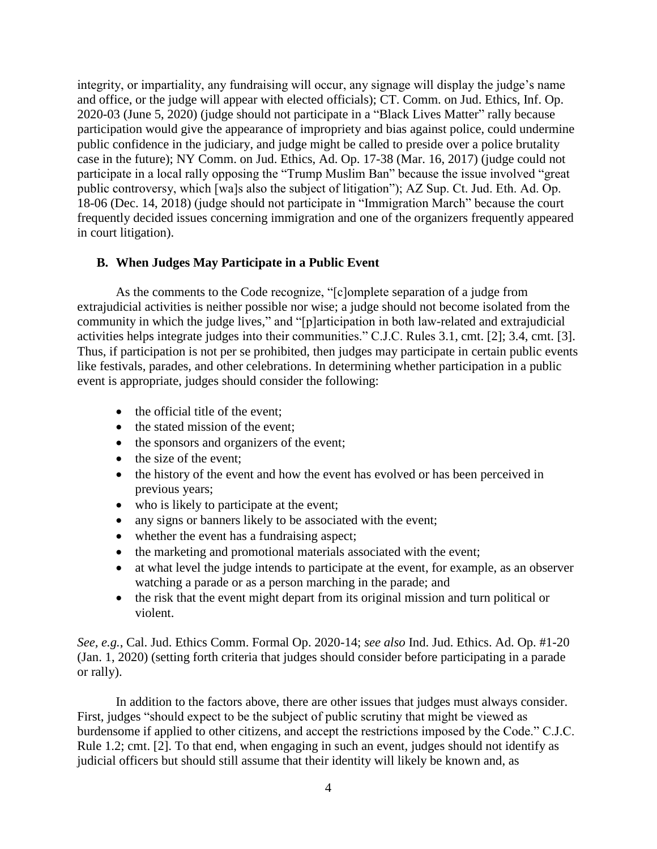integrity, or impartiality, any fundraising will occur, any signage will display the judge's name and office, or the judge will appear with elected officials); CT. Comm. on Jud. Ethics, Inf. Op. 2020-03 (June 5, 2020) (judge should not participate in a "Black Lives Matter" rally because participation would give the appearance of impropriety and bias against police, could undermine public confidence in the judiciary, and judge might be called to preside over a police brutality case in the future); NY Comm. on Jud. Ethics, Ad. Op. 17-38 (Mar. 16, 2017) (judge could not participate in a local rally opposing the "Trump Muslim Ban" because the issue involved "great public controversy, which [wa]s also the subject of litigation"); AZ Sup. Ct. Jud. Eth. Ad. Op. 18-06 (Dec. 14, 2018) (judge should not participate in "Immigration March" because the court frequently decided issues concerning immigration and one of the organizers frequently appeared in court litigation).

#### **B. When Judges May Participate in a Public Event**

As the comments to the Code recognize, "[c]omplete separation of a judge from extrajudicial activities is neither possible nor wise; a judge should not become isolated from the community in which the judge lives," and "[p]articipation in both law-related and extrajudicial activities helps integrate judges into their communities." C.J.C. Rules 3.1, cmt. [2]; 3.4, cmt. [3]. Thus, if participation is not per se prohibited, then judges may participate in certain public events like festivals, parades, and other celebrations. In determining whether participation in a public event is appropriate, judges should consider the following:

- the official title of the event:
- the stated mission of the event;
- the sponsors and organizers of the event;
- the size of the event;
- the history of the event and how the event has evolved or has been perceived in previous years;
- who is likely to participate at the event;
- any signs or banners likely to be associated with the event;
- whether the event has a fundraising aspect;
- the marketing and promotional materials associated with the event;
- at what level the judge intends to participate at the event, for example, as an observer watching a parade or as a person marching in the parade; and
- the risk that the event might depart from its original mission and turn political or violent.

*See, e.g.*, Cal. Jud. Ethics Comm. Formal Op. 2020-14; *see also* Ind. Jud. Ethics. Ad. Op. #1-20 (Jan. 1, 2020) (setting forth criteria that judges should consider before participating in a parade or rally).

In addition to the factors above, there are other issues that judges must always consider. First, judges "should expect to be the subject of public scrutiny that might be viewed as burdensome if applied to other citizens, and accept the restrictions imposed by the Code." C.J.C. Rule 1.2; cmt. [2]. To that end, when engaging in such an event, judges should not identify as judicial officers but should still assume that their identity will likely be known and, as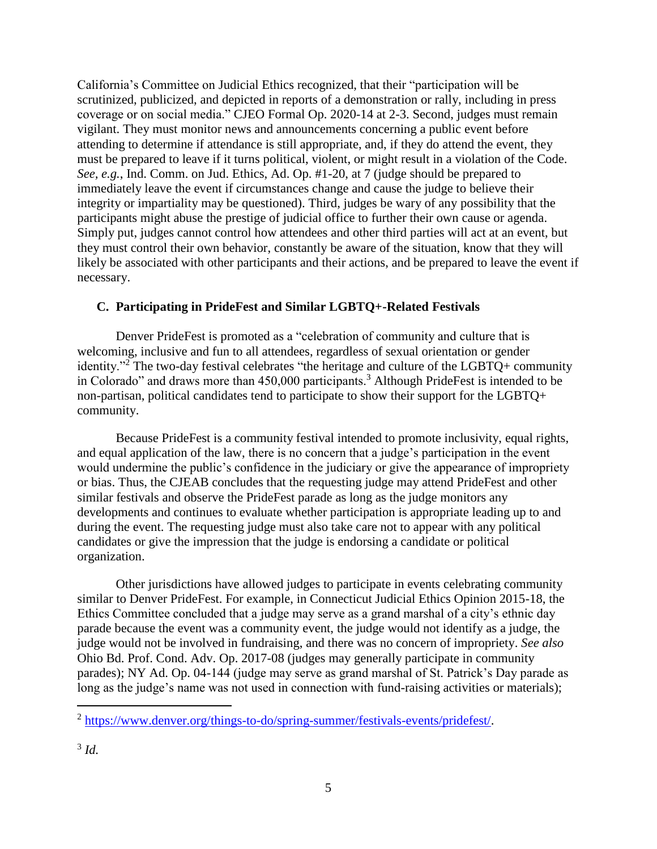California's Committee on Judicial Ethics recognized, that their "participation will be scrutinized, publicized, and depicted in reports of a demonstration or rally, including in press coverage or on social media." CJEO Formal Op. 2020-14 at 2-3. Second, judges must remain vigilant. They must monitor news and announcements concerning a public event before attending to determine if attendance is still appropriate, and, if they do attend the event, they must be prepared to leave if it turns political, violent, or might result in a violation of the Code. *See, e.g.*, Ind. Comm. on Jud. Ethics, Ad. Op. #1-20, at 7 (judge should be prepared to immediately leave the event if circumstances change and cause the judge to believe their integrity or impartiality may be questioned). Third, judges be wary of any possibility that the participants might abuse the prestige of judicial office to further their own cause or agenda. Simply put, judges cannot control how attendees and other third parties will act at an event, but they must control their own behavior, constantly be aware of the situation, know that they will likely be associated with other participants and their actions, and be prepared to leave the event if necessary.

#### **C. Participating in PrideFest and Similar LGBTQ+-Related Festivals**

Denver PrideFest is promoted as a "celebration of community and culture that is welcoming, inclusive and fun to all attendees, regardless of sexual orientation or gender identity."<sup>2</sup> The two-day festival celebrates "the heritage and culture of the LGBTQ+ community in Colorado" and draws more than  $450,000$  participants.<sup>3</sup> Although PrideFest is intended to be non-partisan, political candidates tend to participate to show their support for the LGBTQ+ community.

Because PrideFest is a community festival intended to promote inclusivity, equal rights, and equal application of the law, there is no concern that a judge's participation in the event would undermine the public's confidence in the judiciary or give the appearance of impropriety or bias. Thus, the CJEAB concludes that the requesting judge may attend PrideFest and other similar festivals and observe the PrideFest parade as long as the judge monitors any developments and continues to evaluate whether participation is appropriate leading up to and during the event. The requesting judge must also take care not to appear with any political candidates or give the impression that the judge is endorsing a candidate or political organization.

Other jurisdictions have allowed judges to participate in events celebrating community similar to Denver PrideFest. For example, in Connecticut Judicial Ethics Opinion 2015-18, the Ethics Committee concluded that a judge may serve as a grand marshal of a city's ethnic day parade because the event was a community event, the judge would not identify as a judge, the judge would not be involved in fundraising, and there was no concern of impropriety. *See also* Ohio Bd. Prof. Cond. Adv. Op. 2017-08 (judges may generally participate in community parades); NY Ad. Op. 04-144 (judge may serve as grand marshal of St. Patrick's Day parade as long as the judge's name was not used in connection with fund-raising activities or materials);

 $\overline{a}$ 

<sup>&</sup>lt;sup>2</sup> [https://www.denver.org/things-to-do/spring-summer/festivals-events/pridefest/.](https://www.denver.org/things-to-do/spring-summer/festivals-events/pridefest/)

<sup>3</sup> *Id.*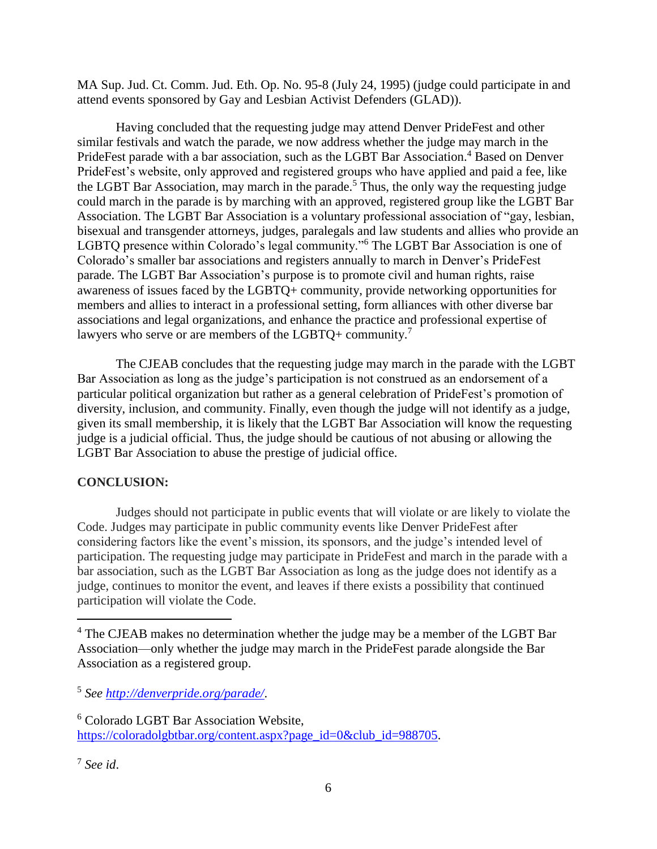MA Sup. Jud. Ct. Comm. Jud. Eth. Op. No. 95-8 (July 24, 1995) (judge could participate in and attend events sponsored by Gay and Lesbian Activist Defenders (GLAD)).

Having concluded that the requesting judge may attend Denver PrideFest and other similar festivals and watch the parade, we now address whether the judge may march in the PrideFest parade with a bar association, such as the LGBT Bar Association.<sup>4</sup> Based on Denver PrideFest's website, only approved and registered groups who have applied and paid a fee, like the LGBT Bar Association, may march in the parade.<sup>5</sup> Thus, the only way the requesting judge could march in the parade is by marching with an approved, registered group like the LGBT Bar Association. The LGBT Bar Association is a voluntary professional association of "gay, lesbian, bisexual and transgender attorneys, judges, paralegals and law students and allies who provide an LGBTQ presence within Colorado's legal community."<sup>6</sup> The LGBT Bar Association is one of Colorado's smaller bar associations and registers annually to march in Denver's PrideFest parade. The LGBT Bar Association's purpose is to promote civil and human rights, raise awareness of issues faced by the LGBTQ+ community, provide networking opportunities for members and allies to interact in a professional setting, form alliances with other diverse bar associations and legal organizations, and enhance the practice and professional expertise of lawyers who serve or are members of the LGBTQ+ community.<sup>7</sup>

The CJEAB concludes that the requesting judge may march in the parade with the LGBT Bar Association as long as the judge's participation is not construed as an endorsement of a particular political organization but rather as a general celebration of PrideFest's promotion of diversity, inclusion, and community. Finally, even though the judge will not identify as a judge, given its small membership, it is likely that the LGBT Bar Association will know the requesting judge is a judicial official. Thus, the judge should be cautious of not abusing or allowing the LGBT Bar Association to abuse the prestige of judicial office.

# **CONCLUSION:**

Judges should not participate in public events that will violate or are likely to violate the Code. Judges may participate in public community events like Denver PrideFest after considering factors like the event's mission, its sponsors, and the judge's intended level of participation. The requesting judge may participate in PrideFest and march in the parade with a bar association, such as the LGBT Bar Association as long as the judge does not identify as a judge, continues to monitor the event, and leaves if there exists a possibility that continued participation will violate the Code.

 $\overline{a}$ 

<sup>&</sup>lt;sup>4</sup> The CJEAB makes no determination whether the judge may be a member of the LGBT Bar Association—only whether the judge may march in the PrideFest parade alongside the Bar Association as a registered group.

<sup>5</sup> *See<http://denverpride.org/parade/>*.

<sup>6</sup> Colorado LGBT Bar Association Website, [https://coloradolgbtbar.org/content.aspx?page\\_id=0&club\\_id=988705.](https://coloradolgbtbar.org/content.aspx?page_id=0&club_id=988705)